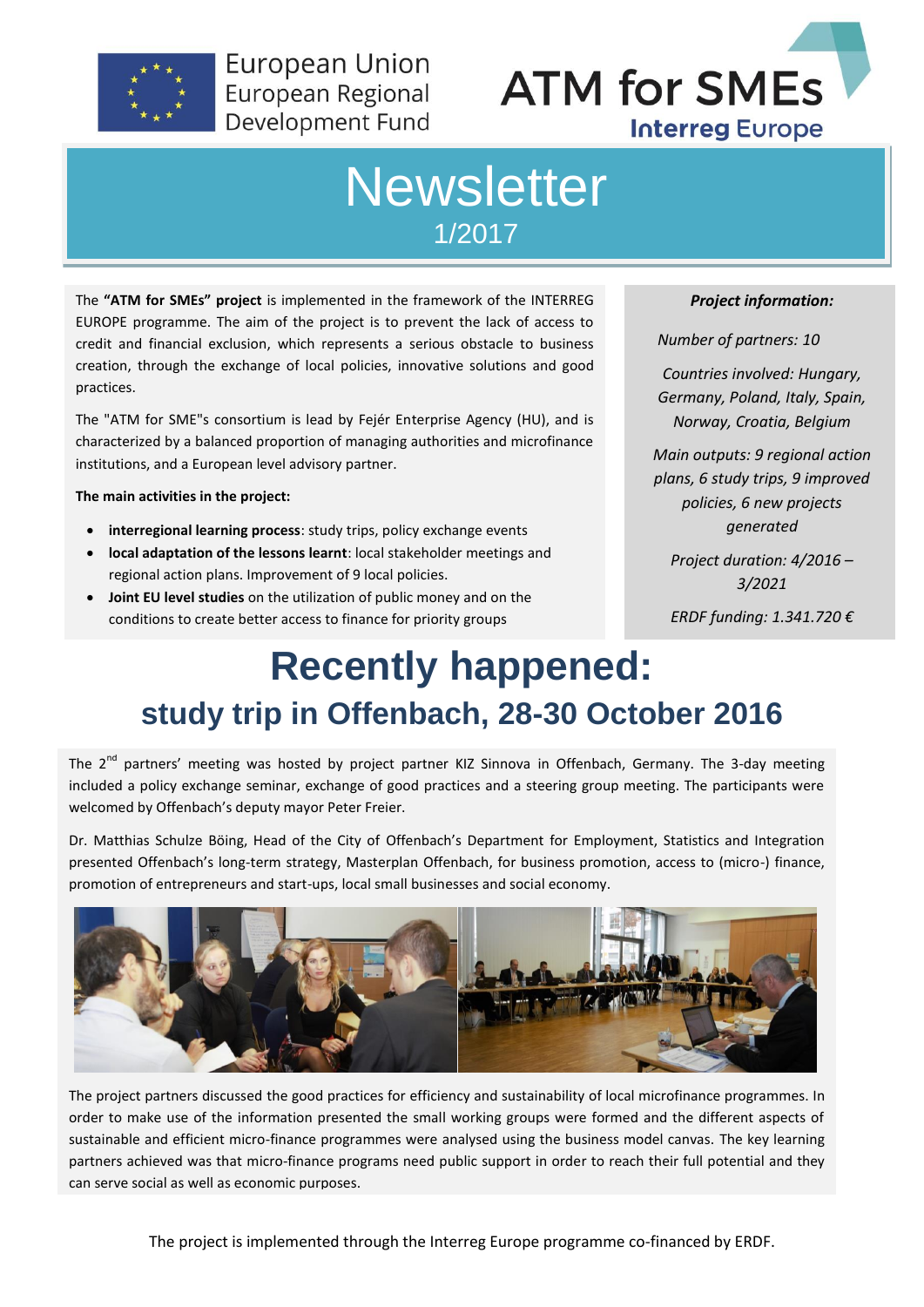

**European Union** European Regional Development Fund



### **Newsletter** 1/2017

The **"ATM for SMEs" project** is implemented in the framework of the INTERREG EUROPE programme. The aim of the project is to prevent the lack of access to credit and financial exclusion, which represents a serious obstacle to business creation, through the exchange of local policies, innovative solutions and good practices.

The "ATM for SME"s consortium is lead by Fejér Enterprise Agency (HU), and is characterized by a balanced proportion of managing authorities and microfinance institutions, and a European level advisory partner.

**The main activities in the project:**

- **interregional learning process**: study trips, policy exchange events
- **local adaptation of the lessons learnt**: local stakeholder meetings and regional action plans. Improvement of 9 local policies.
- **Joint EU level studies** on the utilization of public money and on the conditions to create better access to finance for priority groups

*Project information:*

*Number of partners: 10*

*Countries involved: Hungary, Germany, Poland, Italy, Spain, Norway, Croatia, Belgium*

*Main outputs: 9 regional action plans, 6 study trips, 9 improved policies, 6 new projects generated*

*Project duration: 4/2016 – 3/2021*

*ERDF funding: 1.341.720 €*

## **Recently happened: study trip in Offenbach, 28-30 October 2016**

The 2<sup>nd</sup> partners' meeting was hosted by project partner KIZ Sinnova in Offenbach, Germany. The 3-day meeting included a policy exchange seminar, exchange of good practices and a steering group meeting. The participants were welcomed by Offenbach's deputy mayor Peter Freier.

Dr. Matthias Schulze Böing, Head of the City of Offenbach's Department for Employment, Statistics and Integration presented Offenbach's long-term strategy, Masterplan Offenbach, for business promotion, access to (micro-) finance, promotion of entrepreneurs and start-ups, local small businesses and social economy.



The project partners discussed the good practices for efficiency and sustainability of local microfinance programmes. In order to make use of the information presented the small working groups were formed and the different aspects of sustainable and efficient micro-finance programmes were analysed using the business model canvas. The key learning partners achieved was that micro-finance programs need public support in order to reach their full potential and they can serve social as well as economic purposes.